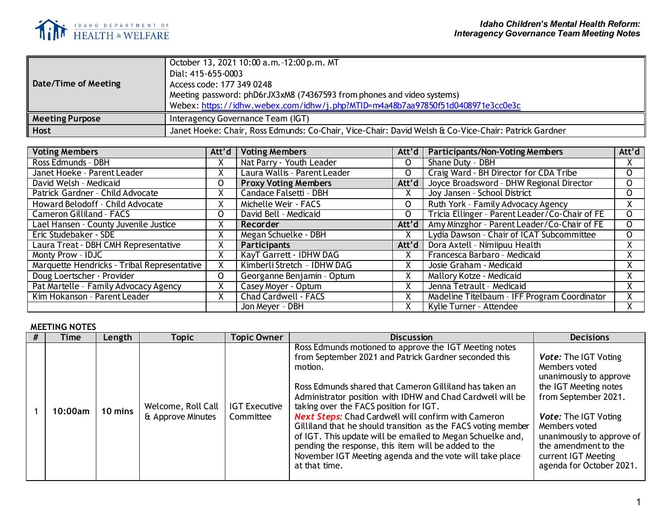

| Date/Time of Meeting   | October 13, 2021 10:00 a.m. -12:00 p.m. MT<br>Dial: 415-655-0003<br>Access code: 177 349 0248<br>Meeting password: phD6rJX3xM8 (74367593 from phones and video systems)<br>Webex: https://idhw.webex.com/idhw/j.php?MTID=m4a48b7aa97850f51d0408971e3cc0e3c |
|------------------------|------------------------------------------------------------------------------------------------------------------------------------------------------------------------------------------------------------------------------------------------------------|
| <b>Meeting Purpose</b> | Interagency Governance Team (IGT)                                                                                                                                                                                                                          |
| <b>Host</b>            | Janet Hoeke: Chair, Ross Edmunds: Co-Chair, Vice-Chair: David Welsh & Co-Vice-Chair: Patrick Gardner                                                                                                                                                       |

| <b>Voting Members</b>                       | Att'd | <b>Voting Members</b>        | Att'd         | <b>Participants/Non-Voting Members</b>         | Att'd    |
|---------------------------------------------|-------|------------------------------|---------------|------------------------------------------------|----------|
| Ross Edmunds - DBH                          | χ     | Nat Parry - Youth Leader     | 0             | Shane Duty - DBH                               | X.       |
| Janet Hoeke - Parent Leader                 | ⋏     | Laura Wallis - Parent Leader | 0             | Craig Ward - BH Director for CDA Tribe         | 0        |
| David Welsh - Medicaid                      | 0     | <b>Proxy Voting Members</b>  | Att'd         | Joyce Broadsword - DHW Regional Director       | 0        |
| Patrick Gardner - Child Advocate            | χ     | Candace Falsetti - DBH       | X             | Joy Jansen - School District                   | 0        |
| Howard Belodoff - Child Advocate            | X     | Michelle Weir - FACS         | $\mathsf{O}$  | Ruth York - Family Advocacy Agency             | Χ.       |
| <b>Cameron Gilliland - FACS</b>             | O     | David Bell - Medicaid        | 0             | Tricia Ellinger - Parent Leader/Co-Chair of FE | $\Omega$ |
| Lael Hansen - County Juvenile Justice       |       | Recorder                     | Att'd         | Amy Minzghor - Parent Leader/Co-Chair of FE    | 0        |
| Eric Studebaker - SDE                       | X     | Megan Schuelke - DBH         |               | Lydia Dawson - Chair of ICAT Subcommittee      | 0        |
| Laura Treat - DBH CMH Representative        |       | <b>Participants</b>          | Att'd $\vert$ | Dora Axtell - Nimiipuu Health                  |          |
| Monty Prow - IDJC                           | χ     | KayT Garrett - IDHW DAG      | X             | Francesca Barbaro - Medicaid                   | Λ.       |
| Marquette Hendricks - Tribal Representative | X     | Kimberli Stretch - IDHW DAG  | X             | Josie Graham - Medicaid                        |          |
| Doug Loertscher - Provider                  | 0     | Georganne Benjamin - Optum   | X             | Mallory Kotze - Medicaid                       |          |
| Pat Martelle - Family Advocacy Agency       |       | Casey Moyer - Optum          |               | Jenna Tetrault - Medicaid                      | л.       |
| Kim Hokanson - Parent Leader                | X     | <b>Chad Cardwell - FACS</b>  | X             | Madeline Titelbaum - IFF Program Coordinator   | Χ.       |
|                                             |       | Jon Meyer - DBH              |               | Kylie Turner - Attendee                        |          |

## **MEETING NOTES**

| Time    | Length  | Topic                                   | <b>Topic Owner</b>                | <b>Discussion</b>                                                                                                                                                                                                                                                                                                                                                                                                                                                                                                                                                                                                               | <b>Decisions</b>                                                                                                                                                                                                                                                                |
|---------|---------|-----------------------------------------|-----------------------------------|---------------------------------------------------------------------------------------------------------------------------------------------------------------------------------------------------------------------------------------------------------------------------------------------------------------------------------------------------------------------------------------------------------------------------------------------------------------------------------------------------------------------------------------------------------------------------------------------------------------------------------|---------------------------------------------------------------------------------------------------------------------------------------------------------------------------------------------------------------------------------------------------------------------------------|
| 10:00am | 10 mins | Welcome, Roll Call<br>& Approve Minutes | <b>IGT Executive</b><br>Committee | Ross Edmunds motioned to approve the IGT Meeting notes<br>from September 2021 and Patrick Gardner seconded this<br>motion.<br>Ross Edmunds shared that Cameron Gilliland has taken an<br>Administrator position with IDHW and Chad Cardwell will be<br>taking over the FACS position for IGT.<br><b>Next Steps:</b> Chad Cardwell will confirm with Cameron<br>Gilliland that he should transition as the FACS voting member<br>of IGT. This update will be emailed to Megan Schuelke and,<br>pending the response, this item will be added to the<br>November IGT Meeting agenda and the vote will take place<br>at that time. | <b>Vote: The IGT Voting</b><br>Members voted<br>unanimously to approve<br>the IGT Meeting notes<br>from September 2021.<br><b>Vote: The IGT Voting</b><br>Members voted<br>unanimously to approve of<br>the amendment to the<br>current IGT Meeting<br>agenda for October 2021. |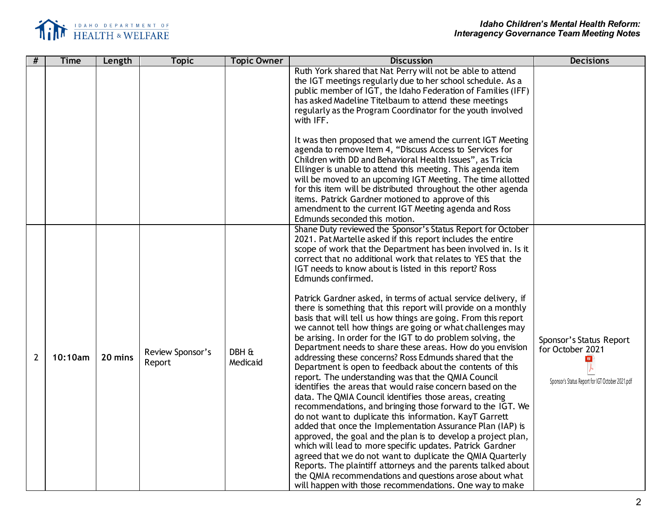

| #              | <b>Time</b> | Length  | <b>Topic</b>               | <b>Topic Owner</b> | <b>Discussion</b>                                                                                                                                                                                                                                                                                                                                                                                                                                                                                                                                                                                                                                                                                                                                                                                                                                                                                                                                                                                                                                                                                                                                                                                                                                                                                                                                                                                                                                                                                                                                                                                                             | <b>Decisions</b>                                                                                              |
|----------------|-------------|---------|----------------------------|--------------------|-------------------------------------------------------------------------------------------------------------------------------------------------------------------------------------------------------------------------------------------------------------------------------------------------------------------------------------------------------------------------------------------------------------------------------------------------------------------------------------------------------------------------------------------------------------------------------------------------------------------------------------------------------------------------------------------------------------------------------------------------------------------------------------------------------------------------------------------------------------------------------------------------------------------------------------------------------------------------------------------------------------------------------------------------------------------------------------------------------------------------------------------------------------------------------------------------------------------------------------------------------------------------------------------------------------------------------------------------------------------------------------------------------------------------------------------------------------------------------------------------------------------------------------------------------------------------------------------------------------------------------|---------------------------------------------------------------------------------------------------------------|
|                |             |         |                            |                    | Ruth York shared that Nat Perry will not be able to attend<br>the IGT meetings regularly due to her school schedule. As a<br>public member of IGT, the Idaho Federation of Families (IFF)<br>has asked Madeline Titelbaum to attend these meetings<br>regularly as the Program Coordinator for the youth involved<br>with IFF.                                                                                                                                                                                                                                                                                                                                                                                                                                                                                                                                                                                                                                                                                                                                                                                                                                                                                                                                                                                                                                                                                                                                                                                                                                                                                                |                                                                                                               |
|                |             |         |                            |                    | It was then proposed that we amend the current IGT Meeting<br>agenda to remove Item 4, "Discuss Access to Services for<br>Children with DD and Behavioral Health Issues", as Tricia<br>Ellinger is unable to attend this meeting. This agenda item<br>will be moved to an upcoming IGT Meeting. The time allotted<br>for this item will be distributed throughout the other agenda<br>items. Patrick Gardner motioned to approve of this<br>amendment to the current IGT Meeting agenda and Ross<br>Edmunds seconded this motion.                                                                                                                                                                                                                                                                                                                                                                                                                                                                                                                                                                                                                                                                                                                                                                                                                                                                                                                                                                                                                                                                                             |                                                                                                               |
| $\overline{2}$ | 10:10am     | 20 mins | Review Sponsor's<br>Report | DBH &<br>Medicaid  | Shane Duty reviewed the Sponsor's Status Report for October<br>2021. Pat Martelle asked if this report includes the entire<br>scope of work that the Department has been involved in. Is it<br>correct that no additional work that relates to YES that the<br>IGT needs to know about is listed in this report? Ross<br>Edmunds confirmed.<br>Patrick Gardner asked, in terms of actual service delivery, if<br>there is something that this report will provide on a monthly<br>basis that will tell us how things are going. From this report<br>we cannot tell how things are going or what challenges may<br>be arising. In order for the IGT to do problem solving, the<br>Department needs to share these areas. How do you envision<br>addressing these concerns? Ross Edmunds shared that the<br>Department is open to feedback about the contents of this<br>report. The understanding was that the QMIA Council<br>identifies the areas that would raise concern based on the<br>data. The QMIA Council identifies those areas, creating<br>recommendations, and bringing those forward to the IGT. We<br>do not want to duplicate this information. KayT Garrett<br>added that once the Implementation Assurance Plan (IAP) is<br>approved, the goal and the plan is to develop a project plan,<br>which will lead to more specific updates. Patrick Gardner<br>agreed that we do not want to duplicate the QMIA Quarterly<br>Reports. The plaintiff attorneys and the parents talked about<br>the QMIA recommendations and questions arose about what<br>will happen with those recommendations. One way to make | Sponsor's Status Report<br>for October 2021<br><b>RDF</b><br>Sponsor's Status Report for IGT October 2021.pdf |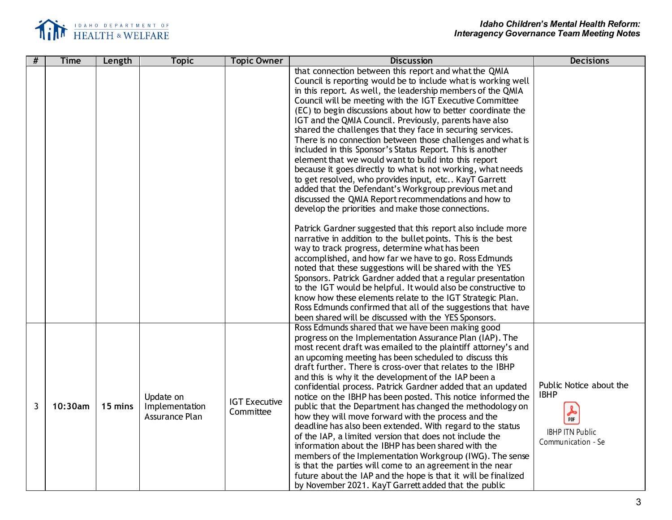

| # | <b>Time</b> | Length  | <b>Topic</b>                                  | <b>Topic Owner</b>                | <b>Discussion</b>                                                                                                                                                                                                                                                                                                                                                                                                                                                                                                                                                                                                                                                                                                                                                                                                                                                                                                                                                                                                                                                                                                                                                                                                                                                                                                                                                                                                                                                                                                                                         | <b>Decisions</b>                                                                             |
|---|-------------|---------|-----------------------------------------------|-----------------------------------|-----------------------------------------------------------------------------------------------------------------------------------------------------------------------------------------------------------------------------------------------------------------------------------------------------------------------------------------------------------------------------------------------------------------------------------------------------------------------------------------------------------------------------------------------------------------------------------------------------------------------------------------------------------------------------------------------------------------------------------------------------------------------------------------------------------------------------------------------------------------------------------------------------------------------------------------------------------------------------------------------------------------------------------------------------------------------------------------------------------------------------------------------------------------------------------------------------------------------------------------------------------------------------------------------------------------------------------------------------------------------------------------------------------------------------------------------------------------------------------------------------------------------------------------------------------|----------------------------------------------------------------------------------------------|
|   |             |         |                                               |                                   | that connection between this report and what the QMIA<br>Council is reporting would be to include what is working well<br>in this report. As well, the leadership members of the QMIA<br>Council will be meeting with the IGT Executive Committee<br>(EC) to begin discussions about how to better coordinate the<br>IGT and the QMIA Council. Previously, parents have also<br>shared the challenges that they face in securing services.<br>There is no connection between those challenges and what is<br>included in this Sponsor's Status Report. This is another<br>element that we would want to build into this report<br>because it goes directly to what is not working, what needs<br>to get resolved, who provides input, etc KayT Garrett<br>added that the Defendant's Workgroup previous met and<br>discussed the QMIA Report recommendations and how to<br>develop the priorities and make those connections.<br>Patrick Gardner suggested that this report also include more<br>narrative in addition to the bullet points. This is the best<br>way to track progress, determine what has been<br>accomplished, and how far we have to go. Ross Edmunds<br>noted that these suggestions will be shared with the YES<br>Sponsors. Patrick Gardner added that a regular presentation<br>to the IGT would be helpful. It would also be constructive to<br>know how these elements relate to the IGT Strategic Plan.<br>Ross Edmunds confirmed that all of the suggestions that have<br>been shared will be discussed with the YES Sponsors. |                                                                                              |
| 3 | 10:30am     | 15 mins | Update on<br>Implementation<br>Assurance Plan | <b>IGT Executive</b><br>Committee | Ross Edmunds shared that we have been making good<br>progress on the Implementation Assurance Plan (IAP). The<br>most recent draft was emailed to the plaintiff attorney's and<br>an upcoming meeting has been scheduled to discuss this<br>draft further. There is cross-over that relates to the IBHP<br>and this is why it the development of the IAP been a<br>confidential process. Patrick Gardner added that an updated<br>notice on the IBHP has been posted. This notice informed the<br>public that the Department has changed the methodology on<br>how they will move forward with the process and the<br>deadline has also been extended. With regard to the status<br>of the IAP, a limited version that does not include the<br>information about the IBHP has been shared with the<br>members of the Implementation Workgroup (IWG). The sense<br>is that the parties will come to an agreement in the near<br>future about the IAP and the hope is that it will be finalized<br>by November 2021. KayT Garrett added that the public                                                                                                                                                                                                                                                                                                                                                                                                                                                                                                     | Public Notice about the<br><b>IBHP</b><br>人脉<br><b>IBHP ITN Public</b><br>Communication - Se |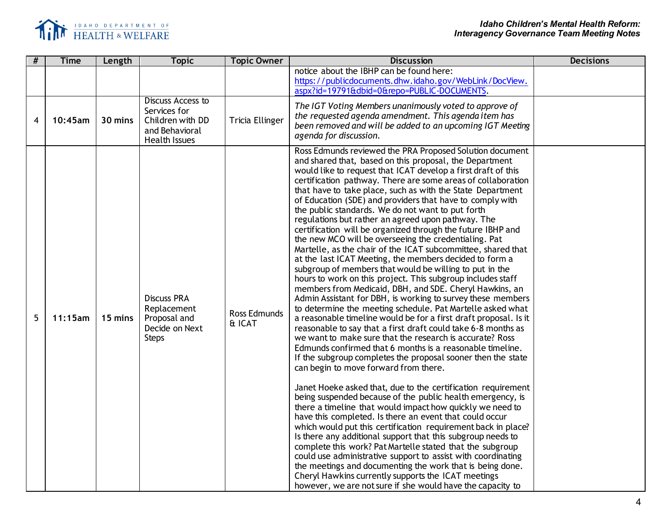

| # | <b>Time</b> | Length  | <b>Topic</b>                                                                                    | <b>Topic Owner</b>            | <b>Discussion</b>                                                                                                                                                                                                                                                                                                                                                                                                                                                                                                                                                                                                                                                                                                                                                                                                                                                                                                                                                                                                                                                                                                                                                                                                                                                                                                                                                                                                                                                                                                                                                                                                                                                                                                                                                                                                                                                                                                                                                                                                                                                                                                                           | <b>Decisions</b> |
|---|-------------|---------|-------------------------------------------------------------------------------------------------|-------------------------------|---------------------------------------------------------------------------------------------------------------------------------------------------------------------------------------------------------------------------------------------------------------------------------------------------------------------------------------------------------------------------------------------------------------------------------------------------------------------------------------------------------------------------------------------------------------------------------------------------------------------------------------------------------------------------------------------------------------------------------------------------------------------------------------------------------------------------------------------------------------------------------------------------------------------------------------------------------------------------------------------------------------------------------------------------------------------------------------------------------------------------------------------------------------------------------------------------------------------------------------------------------------------------------------------------------------------------------------------------------------------------------------------------------------------------------------------------------------------------------------------------------------------------------------------------------------------------------------------------------------------------------------------------------------------------------------------------------------------------------------------------------------------------------------------------------------------------------------------------------------------------------------------------------------------------------------------------------------------------------------------------------------------------------------------------------------------------------------------------------------------------------------------|------------------|
|   |             |         |                                                                                                 |                               | notice about the IBHP can be found here:<br>https://publicdocuments.dhw.idaho.gov/WebLink/DocView.<br>aspx?id=19791&dbid=0&repo=PUBLIC-DOCUMENTS.                                                                                                                                                                                                                                                                                                                                                                                                                                                                                                                                                                                                                                                                                                                                                                                                                                                                                                                                                                                                                                                                                                                                                                                                                                                                                                                                                                                                                                                                                                                                                                                                                                                                                                                                                                                                                                                                                                                                                                                           |                  |
| 4 | 10:45am     | 30 mins | Discuss Access to<br>Services for<br>Children with DD<br>and Behavioral<br><b>Health Issues</b> | <b>Tricia Ellinger</b>        | The IGT Voting Members unanimously voted to approve of<br>the requested agenda amendment. This agenda item has<br>been removed and will be added to an upcoming IGT Meeting<br>agenda for discussion.                                                                                                                                                                                                                                                                                                                                                                                                                                                                                                                                                                                                                                                                                                                                                                                                                                                                                                                                                                                                                                                                                                                                                                                                                                                                                                                                                                                                                                                                                                                                                                                                                                                                                                                                                                                                                                                                                                                                       |                  |
| 5 | 11:15am     | 15 mins | <b>Discuss PRA</b><br>Replacement<br>Proposal and<br>Decide on Next<br><b>Steps</b>             | <b>Ross Edmunds</b><br>& ICAT | Ross Edmunds reviewed the PRA Proposed Solution document<br>and shared that, based on this proposal, the Department<br>would like to request that ICAT develop a first draft of this<br>certification pathway. There are some areas of collaboration<br>that have to take place, such as with the State Department<br>of Education (SDE) and providers that have to comply with<br>the public standards. We do not want to put forth<br>regulations but rather an agreed upon pathway. The<br>certification will be organized through the future IBHP and<br>the new MCO will be overseeing the credentialing. Pat<br>Martelle, as the chair of the ICAT subcommittee, shared that<br>at the last ICAT Meeting, the members decided to form a<br>subgroup of members that would be willing to put in the<br>hours to work on this project. This subgroup includes staff<br>members from Medicaid, DBH, and SDE. Cheryl Hawkins, an<br>Admin Assistant for DBH, is working to survey these members<br>to determine the meeting schedule. Pat Martelle asked what<br>a reasonable timeline would be for a first draft proposal. Is it<br>reasonable to say that a first draft could take 6-8 months as<br>we want to make sure that the research is accurate? Ross<br>Edmunds confirmed that 6 months is a reasonable timeline.<br>If the subgroup completes the proposal sooner then the state<br>can begin to move forward from there.<br>Janet Hoeke asked that, due to the certification requirement<br>being suspended because of the public health emergency, is<br>there a timeline that would impact how quickly we need to<br>have this completed. Is there an event that could occur<br>which would put this certification requirement back in place?<br>Is there any additional support that this subgroup needs to<br>complete this work? Pat Martelle stated that the subgroup<br>could use administrative support to assist with coordinating<br>the meetings and documenting the work that is being done.<br>Cheryl Hawkins currently supports the ICAT meetings<br>however, we are not sure if she would have the capacity to |                  |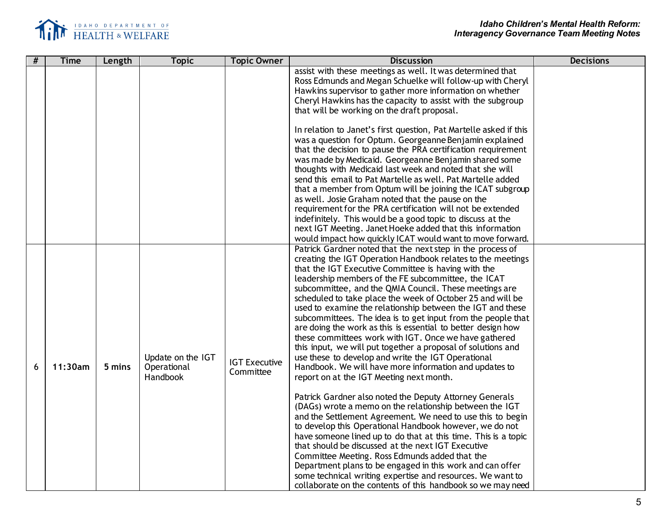

| # | <b>Time</b> | Length | <b>Topic</b>      | <b>Topic Owner</b>   | <b>Discussion</b>                                                                                                         | <b>Decisions</b> |
|---|-------------|--------|-------------------|----------------------|---------------------------------------------------------------------------------------------------------------------------|------------------|
|   |             |        |                   |                      | assist with these meetings as well. It was determined that<br>Ross Edmunds and Megan Schuelke will follow-up with Cheryl  |                  |
|   |             |        |                   |                      | Hawkins supervisor to gather more information on whether                                                                  |                  |
|   |             |        |                   |                      | Cheryl Hawkins has the capacity to assist with the subgroup<br>that will be working on the draft proposal.                |                  |
|   |             |        |                   |                      |                                                                                                                           |                  |
|   |             |        |                   |                      | In relation to Janet's first question, Pat Martelle asked if this                                                         |                  |
|   |             |        |                   |                      | was a question for Optum. Georgeanne Benjamin explained                                                                   |                  |
|   |             |        |                   |                      | that the decision to pause the PRA certification requirement                                                              |                  |
|   |             |        |                   |                      | was made by Medicaid. Georgeanne Benjamin shared some                                                                     |                  |
|   |             |        |                   |                      | thoughts with Medicaid last week and noted that she will<br>send this email to Pat Martelle as well. Pat Martelle added   |                  |
|   |             |        |                   |                      | that a member from Optum will be joining the ICAT subgroup                                                                |                  |
|   |             |        |                   |                      | as well. Josie Graham noted that the pause on the                                                                         |                  |
|   |             |        |                   |                      | requirement for the PRA certification will not be extended                                                                |                  |
|   |             |        |                   |                      | indefinitely. This would be a good topic to discuss at the                                                                |                  |
|   |             |        |                   |                      | next IGT Meeting. Janet Hoeke added that this information                                                                 |                  |
|   |             |        |                   |                      | would impact how quickly ICAT would want to move forward.                                                                 |                  |
|   |             |        |                   |                      | Patrick Gardner noted that the next step in the process of                                                                |                  |
|   |             |        |                   |                      | creating the IGT Operation Handbook relates to the meetings<br>that the IGT Executive Committee is having with the        |                  |
|   |             |        |                   |                      | leadership members of the FE subcommittee, the ICAT                                                                       |                  |
|   |             |        |                   |                      | subcommittee, and the QMIA Council. These meetings are                                                                    |                  |
|   |             |        |                   |                      | scheduled to take place the week of October 25 and will be                                                                |                  |
|   |             |        |                   |                      | used to examine the relationship between the IGT and these                                                                |                  |
|   |             |        |                   |                      | subcommittees. The idea is to get input from the people that                                                              |                  |
|   |             |        |                   |                      | are doing the work as this is essential to better design how                                                              |                  |
|   |             |        |                   |                      | these committees work with IGT. Once we have gathered<br>this input, we will put together a proposal of solutions and     |                  |
|   |             |        | Update on the IGT |                      | use these to develop and write the IGT Operational                                                                        |                  |
| 6 | 11:30am     | 5 mins | Operational       | <b>IGT Executive</b> | Handbook. We will have more information and updates to                                                                    |                  |
|   |             |        | Handbook          | Committee            | report on at the IGT Meeting next month.                                                                                  |                  |
|   |             |        |                   |                      |                                                                                                                           |                  |
|   |             |        |                   |                      | Patrick Gardner also noted the Deputy Attorney Generals                                                                   |                  |
|   |             |        |                   |                      | (DAGs) wrote a memo on the relationship between the IGT                                                                   |                  |
|   |             |        |                   |                      | and the Settlement Agreement. We need to use this to begin                                                                |                  |
|   |             |        |                   |                      | to develop this Operational Handbook however, we do not<br>have someone lined up to do that at this time. This is a topic |                  |
|   |             |        |                   |                      | that should be discussed at the next IGT Executive                                                                        |                  |
|   |             |        |                   |                      | Committee Meeting. Ross Edmunds added that the                                                                            |                  |
|   |             |        |                   |                      | Department plans to be engaged in this work and can offer                                                                 |                  |
|   |             |        |                   |                      | some technical writing expertise and resources. We want to                                                                |                  |
|   |             |        |                   |                      | collaborate on the contents of this handbook so we may need                                                               |                  |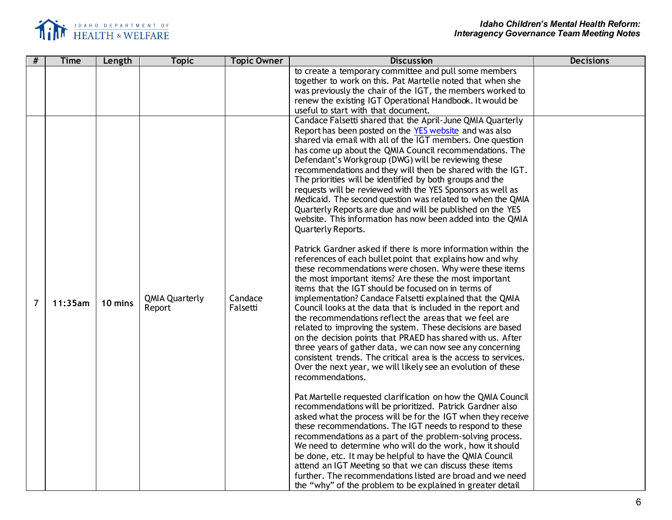

| #              | <b>Time</b> | Length  | <b>Topic</b>                    | <b>Topic Owner</b>  | <b>Discussion</b>                                                                                                                                                                                                                                                                                                                                                                                                                                                                                                                                                                                                                                                                                                                                                                                                                                                                                                                                                                                                                                                                                                                                                                                                                                                                                                                                                                                                                                                                                                                                                                                                                                                                                                                                                                                                                                                                                                                                                                                                                                                                                                                    | <b>Decisions</b> |
|----------------|-------------|---------|---------------------------------|---------------------|--------------------------------------------------------------------------------------------------------------------------------------------------------------------------------------------------------------------------------------------------------------------------------------------------------------------------------------------------------------------------------------------------------------------------------------------------------------------------------------------------------------------------------------------------------------------------------------------------------------------------------------------------------------------------------------------------------------------------------------------------------------------------------------------------------------------------------------------------------------------------------------------------------------------------------------------------------------------------------------------------------------------------------------------------------------------------------------------------------------------------------------------------------------------------------------------------------------------------------------------------------------------------------------------------------------------------------------------------------------------------------------------------------------------------------------------------------------------------------------------------------------------------------------------------------------------------------------------------------------------------------------------------------------------------------------------------------------------------------------------------------------------------------------------------------------------------------------------------------------------------------------------------------------------------------------------------------------------------------------------------------------------------------------------------------------------------------------------------------------------------------------|------------------|
|                |             |         |                                 |                     | to create a temporary committee and pull some members<br>together to work on this. Pat Martelle noted that when she<br>was previously the chair of the IGT, the members worked to<br>renew the existing IGT Operational Handbook. It would be<br>useful to start with that document.<br>Candace Falsetti shared that the April-June QMIA Quarterly                                                                                                                                                                                                                                                                                                                                                                                                                                                                                                                                                                                                                                                                                                                                                                                                                                                                                                                                                                                                                                                                                                                                                                                                                                                                                                                                                                                                                                                                                                                                                                                                                                                                                                                                                                                   |                  |
| $\overline{7}$ | 11:35am     | 10 mins | <b>QMIA Quarterly</b><br>Report | Candace<br>Falsetti | Report has been posted on the YES website and was also<br>shared via email with all of the IGT members. One question<br>has come up about the QMIA Council recommendations. The<br>Defendant's Workgroup (DWG) will be reviewing these<br>recommendations and they will then be shared with the IGT.<br>The priorities will be identified by both groups and the<br>requests will be reviewed with the YES Sponsors as well as<br>Medicaid. The second question was related to when the QMIA<br>Quarterly Reports are due and will be published on the YES<br>website. This information has now been added into the QMIA<br>Quarterly Reports.<br>Patrick Gardner asked if there is more information within the<br>references of each bullet point that explains how and why<br>these recommendations were chosen. Why were these items<br>the most important items? Are these the most important<br>items that the IGT should be focused on in terms of<br>implementation? Candace Falsetti explained that the QMIA<br>Council looks at the data that is included in the report and<br>the recommendations reflect the areas that we feel are<br>related to improving the system. These decisions are based<br>on the decision points that PRAED has shared with us. After<br>three years of gather data, we can now see any concerning<br>consistent trends. The critical area is the access to services.<br>Over the next year, we will likely see an evolution of these<br>recommendations.<br>Pat Martelle requested clarification on how the QMIA Council<br>recommendations will be prioritized. Patrick Gardner also<br>asked what the process will be for the IGT when they receive<br>these recommendations. The IGT needs to respond to these<br>recommendations as a part of the problem-solving process.<br>We need to determine who will do the work, how it should<br>be done, etc. It may be helpful to have the QMIA Council<br>attend an IGT Meeting so that we can discuss these items<br>further. The recommendations listed are broad and we need<br>the "why" of the problem to be explained in greater detail |                  |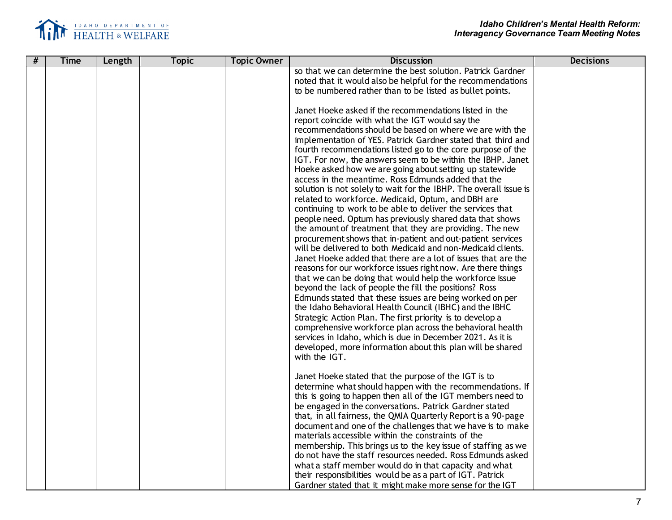

| # | <b>Time</b> | Length | <b>Topic</b> | <b>Topic Owner</b> | <b>Discussion</b>                                                 | <b>Decisions</b> |
|---|-------------|--------|--------------|--------------------|-------------------------------------------------------------------|------------------|
|   |             |        |              |                    | so that we can determine the best solution. Patrick Gardner       |                  |
|   |             |        |              |                    | noted that it would also be helpful for the recommendations       |                  |
|   |             |        |              |                    | to be numbered rather than to be listed as bullet points.         |                  |
|   |             |        |              |                    |                                                                   |                  |
|   |             |        |              |                    | Janet Hoeke asked if the recommendations listed in the            |                  |
|   |             |        |              |                    | report coincide with what the IGT would say the                   |                  |
|   |             |        |              |                    | recommendations should be based on where we are with the          |                  |
|   |             |        |              |                    | implementation of YES. Patrick Gardner stated that third and      |                  |
|   |             |        |              |                    | fourth recommendations listed go to the core purpose of the       |                  |
|   |             |        |              |                    | IGT. For now, the answers seem to be within the IBHP. Janet       |                  |
|   |             |        |              |                    | Hoeke asked how we are going about setting up statewide           |                  |
|   |             |        |              |                    | access in the meantime. Ross Edmunds added that the               |                  |
|   |             |        |              |                    | solution is not solely to wait for the IBHP. The overall issue is |                  |
|   |             |        |              |                    | related to workforce. Medicaid, Optum, and DBH are                |                  |
|   |             |        |              |                    | continuing to work to be able to deliver the services that        |                  |
|   |             |        |              |                    | people need. Optum has previously shared data that shows          |                  |
|   |             |        |              |                    | the amount of treatment that they are providing. The new          |                  |
|   |             |        |              |                    | procurement shows that in-patient and out-patient services        |                  |
|   |             |        |              |                    | will be delivered to both Medicaid and non-Medicaid clients.      |                  |
|   |             |        |              |                    | Janet Hoeke added that there are a lot of issues that are the     |                  |
|   |             |        |              |                    | reasons for our workforce issues right now. Are there things      |                  |
|   |             |        |              |                    | that we can be doing that would help the workforce issue          |                  |
|   |             |        |              |                    | beyond the lack of people the fill the positions? Ross            |                  |
|   |             |        |              |                    | Edmunds stated that these issues are being worked on per          |                  |
|   |             |        |              |                    | the Idaho Behavioral Health Council (IBHC) and the IBHC           |                  |
|   |             |        |              |                    | Strategic Action Plan. The first priority is to develop a         |                  |
|   |             |        |              |                    | comprehensive workforce plan across the behavioral health         |                  |
|   |             |        |              |                    | services in Idaho, which is due in December 2021. As it is        |                  |
|   |             |        |              |                    | developed, more information about this plan will be shared        |                  |
|   |             |        |              |                    | with the IGT.                                                     |                  |
|   |             |        |              |                    |                                                                   |                  |
|   |             |        |              |                    | Janet Hoeke stated that the purpose of the IGT is to              |                  |
|   |             |        |              |                    | determine what should happen with the recommendations. If         |                  |
|   |             |        |              |                    | this is going to happen then all of the IGT members need to       |                  |
|   |             |        |              |                    | be engaged in the conversations. Patrick Gardner stated           |                  |
|   |             |        |              |                    | that, in all fairness, the QMIA Quarterly Report is a 90-page     |                  |
|   |             |        |              |                    | document and one of the challenges that we have is to make        |                  |
|   |             |        |              |                    | materials accessible within the constraints of the                |                  |
|   |             |        |              |                    | membership. This brings us to the key issue of staffing as we     |                  |
|   |             |        |              |                    | do not have the staff resources needed. Ross Edmunds asked        |                  |
|   |             |        |              |                    | what a staff member would do in that capacity and what            |                  |
|   |             |        |              |                    | their responsibilities would be as a part of IGT. Patrick         |                  |
|   |             |        |              |                    | Gardner stated that it might make more sense for the IGT          |                  |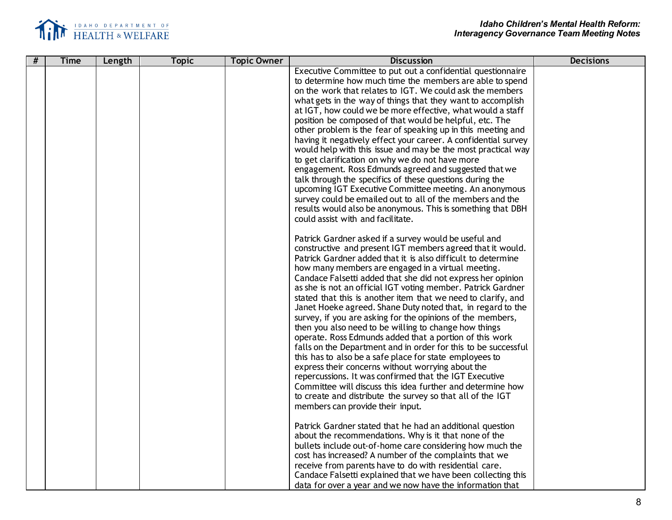